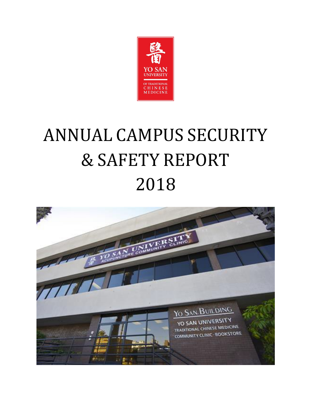

# ANNUAL CAMPUS SECURITY & SAFETY REPORT 2012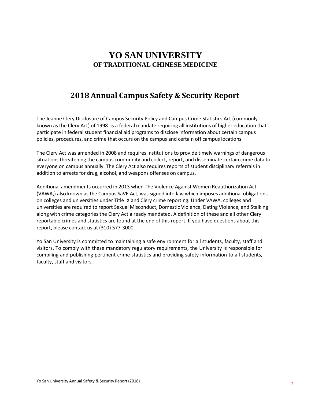# **YO SAN UNIVERSITY OF TRADITIONAL CHINESE MEDICINE**

# **2019 Annual Campus Safety & Security Report**

The Jeanne Clery Disclosure of Campus Security Policy and Campus Crime Statistics Act (commonly known as the Clery Act) of 1998 is a federal mandate requiring all institutions of higher education that participate in federal student financial aid programs to disclose information about certain campus policies, procedures, and crime that occurs on the campus and certain off campus locations.

The Clery Act was amended in 2008 and requires institutions to provide timely warnings of dangerous situations threatening the campus community and collect, report, and disseminate certain crime data to everyone on campus annually. The Clery Act also requires reports of student disciplinary referrals in addition to arrests for drug, alcohol, and weapons offenses on campus.

Additional amendments occurred in 2013 when The Violence Against Women Reauthorization Act (VAWA,) also known as the Campus SaVE Act, was signed into law which imposes additional obligations on colleges and universities under Title IX and Clery crime reporting. Under VAWA, colleges and universities are required to report Sexual Misconduct, Domestic Violence, Dating Violence, and Stalking along with crime categories the Clery Act already mandated. A definition of these and all other Clery reportable crimes and statistics are found at the end of this report. If you have questions about this report, please contact us at (310) 577-3000.

Yo San University is committed to maintaining a safe environment for all students, faculty, staff and visitors. To comply with these mandatory regulatory requirements, the University is responsible for compiling and publishing pertinent crime statistics and providing safety information to all students, faculty, staff and visitors.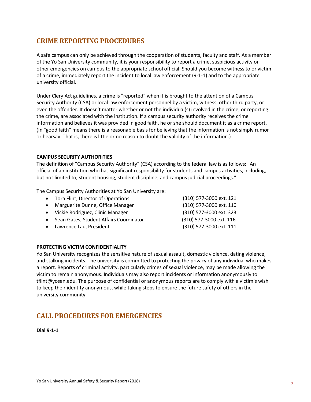## **CRIME REPORTING PROCEDURES**

A safe campus can only be achieved through the cooperation of students, faculty and staff. As a member of the Yo San University community, it is your responsibility to report a crime, suspicious activity or other emergencies on campus to the appropriate school official. Should you become witness to or victim of a crime, immediately report the incident to local law enforcement (9-1-1) and to the appropriate university official.

Under Clery Act guidelines, a crime is "reported" when it is brought to the attention of a Campus Security Authority (CSA) or local law enforcement personnel by a victim, witness, other third party, or even the offender. It doesn't matter whether or not the individual(s) involved in the crime, or reporting the crime, are associated with the institution. If a campus security authority receives the crime information and believes it was provided in good faith, he or she should document it as a crime report. (In "good faith" means there is a reasonable basis for believing that the information is not simply rumor or hearsay. That is, there is little or no reason to doubt the validity of the information.)

#### **CAMPUS SECURITY AUTHORITIES**

The definition of "Campus Security Authority" (CSA) according to the federal law is as follows: "An official of an institution who has significant responsibility for students and campus activities, including, but not limited to, student housing, student discipline, and campus judicial proceedings."

The Campus Security Authorities at Yo San University are:

- Tora Flint, Director of Operations
- Marguerite Dunne, Office Manager
- John Fang, Dean of Clinical Education
- Sean Gates, Student Affairs Coordinator
- Lawrence Lau, President

(310) 577-3000 ext. 121 (310) 577-3000 ext. 110 (310) 577-3000 ext. 325 (310) 577-3000 ext. 116 (310) 577-3000 ext. 111

#### **PROTECTING VICTIM CONFIDENTIALITY**

Yo San University recognizes the sensitive nature of sexual assault, domestic violence, dating violence, and stalking incidents. The university is committed to protecting the privacy of any individual who makes a report. Reports of criminal activity, particularly crimes of sexual violence, may be made allowing the victim to remain anonymous. Individuals may also report incidents or information anonymously t[o](mailto:tflint@yosan.edu) [tflint@yosan.edu.](mailto:tflint@yosan.edu) The purpose of confidential or anonymous reports are to comply with a victim's wish to keep their identity anonymous, while taking steps to ensure the future safety of others in the university community.

## **CALL PROCEDURES FOR EMERGENCIES**

**Dial 9-1-1**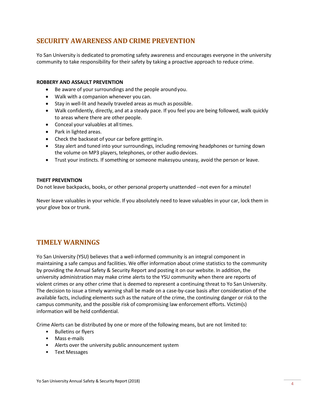## **SECURITY AWARENESS AND CRIME PREVENTION**

Yo San University is dedicated to promoting safety awareness and encourages everyone in the university community to take responsibility for their safety by taking a proactive approach to reduce crime.

#### **ROBBERY AND ASSAULT PREVENTION**

- Be aware of your surroundings and the people aroundyou.
- Walk with a companion whenever you can.
- Stay in well-lit and heavily traveled areas as much as possible.
- Walk confidently, directly, and at a steady pace. If you feel you are being followed, walk quickly to areas where there are other people.
- Conceal your valuables at all times.
- Park in lighted areas.
- Check the backseat of your car before getting in.
- Stay alert and tuned into your surroundings, including removing headphones or turning down the volume on MP3 players, telephones, or other audio devices.
- Trust your instincts. If something or someone makesyou uneasy, avoid the person or leave.

#### **THEFT PREVENTION**

Do not leave backpacks, books, or other personal property unattended --not even for a minute!

Never leave valuables in your vehicle. If you absolutely need to leave valuables in your car, lock them in your glove box or trunk.

## **TIMELY WARNINGS**

Yo San University (YSU) believes that a well-informed community is an integral component in maintaining a safe campus and facilities. We offer information about crime statistics to the community by providing the Annual Safety & Security Report and posting it on our website. In addition, the university administration may make crime alerts to the YSU community when there are reports of violent crimes or any other crime that is deemed to represent a continuing threat to Yo San University. The decision to issue a timely warning shall be made on a case-by-case basis after consideration of the available facts, including elements such as the nature of the crime, the continuing danger or risk to the campus community, and the possible risk of compromising law enforcement efforts. Victim(s) information will be held confidential.

Crime Alerts can be distributed by one or more of the following means, but are not limited to:

- Bulletins or flyers
- Mass e-mails
- Alerts over the university public announcement system
- Text Messages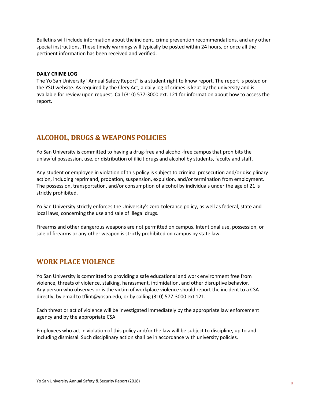Bulletins will include information about the incident, crime prevention recommendations, and any other special instructions. These timely warnings will typically be posted within 24 hours, or once all the pertinent information has been received and verified.

#### **DAILY CRIME LOG**

The Yo San University "Annual Safety Report" is a student right to know report. The report is posted on the YSU website. As required by the Clery Act, a daily log of crimes is kept by the university and is available for review upon request. Call (310) 577-3000 ext. 121 for information about how to access the report.

## **ALCOHOL, DRUGS & WEAPONS POLICIES**

Yo San University is committed to having a drug-free and alcohol-free campus that prohibits the unlawful possession, use, or distribution of illicit drugs and alcohol by students, faculty and staff.

Any student or employee in violation of this policy is subject to criminal prosecution and/or disciplinary action, including reprimand, probation, suspension, expulsion, and/or termination from employment. The possession, transportation, and/or consumption of alcohol by individuals under the age of 21 is strictly prohibited.

Yo San University strictly enforces the University's zero-tolerance policy, as well as federal, state and local laws, concerning the use and sale of illegal drugs.

Firearms and other dangerous weapons are not permitted on campus. Intentional use, possession, or sale of firearms or any other weapon is strictly prohibited on campus by state law.

## **WORK PLACE VIOLENCE**

Yo San University is committed to providing a safe educational and work environment free from violence, threats of violence, stalking, harassment, intimidation, and other disruptive behavior. Any person who observes or is the victim of workplace violence should report the incident to a CSA directly, by email to [tflint@yosan.edu,](mailto:tflint@yosan.edu) or by calling (310) 577-3000 ext 121.

Each threat or act of violence will be investigated immediately by the appropriate law enforcement agency and by the appropriate CSA.

Employees who act in violation of this policy and/or the law will be subject to discipline, up to and including dismissal. Such disciplinary action shall be in accordance with university policies.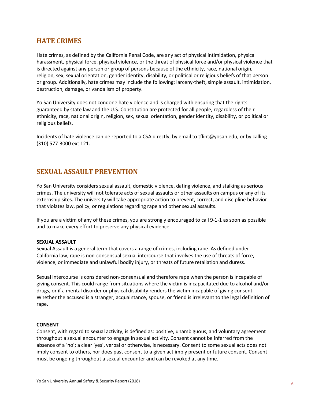## **HATE CRIMES**

Hate crimes, as defined by the California Penal Code, are any act of physical intimidation, physical harassment, physical force, physical violence, or the threat of physical force and/or physical violence that is directed against any person or group of persons because of the ethnicity, race, national origin, religion, sex, sexual orientation, gender identity, disability, or political or religious beliefs of that person or group. Additionally, hate crimes may include the following: larceny-theft, simple assault, intimidation, destruction, damage, or vandalism of property.

Yo San University does not condone hate violence and is charged with ensuring that the rights guaranteed by state law and the U.S. Constitution are protected for all people, regardless of their ethnicity, race, national origin, religion, sex, sexual orientation, gender identity, disability, or political or religious beliefs.

Incidents of hate violence can be reported to a CSA directly, by email to [tflint@yosan.edu,](mailto:tflint@yosan.edu) or by calling (310) 577-3000 ext 121.

## **SEXUAL ASSAULT PREVENTION**

Yo San University considers sexual assault, domestic violence, dating violence, and stalking as serious crimes. The university will not tolerate acts of sexual assaults or other assaults on campus or any of its externship sites. The university will take appropriate action to prevent, correct, and discipline behavior that violates law, policy, or regulations regarding rape and other sexual assaults.

If you are a victim of any of these crimes, you are strongly encouraged to call 9-1-1 as soon as possible and to make every effort to preserve any physical evidence.

#### **SEXUAL ASSAULT**

Sexual Assault is a general term that covers a range of crimes, including rape. As defined under California law, rape is non-consensual sexual intercourse that involves the use of threats of force, violence, or immediate and unlawful bodily injury, or threats of future retaliation and duress.

Sexual intercourse is considered non-consensual and therefore rape when the person is incapable of giving consent. This could range from situations where the victim is incapacitated due to alcohol and/or drugs, or if a mental disorder or physical disability renders the victim incapable of giving consent. Whether the accused is a stranger, acquaintance, spouse, or friend is irrelevant to the legal definition of rape.

#### **CONSENT**

Consent, with regard to sexual activity, is defined as: positive, unambiguous, and voluntary agreement throughout a sexual encounter to engage in sexual activity. Consent cannot be inferred from the absence of a 'no'; a clear 'yes', verbal or otherwise, is necessary. Consent to some sexual acts does not imply consent to others, nor does past consent to a given act imply present or future consent. Consent must be ongoing throughout a sexual encounter and can be revoked at any time.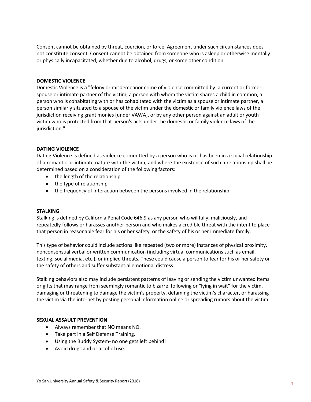Consent cannot be obtained by threat, coercion, or force. Agreement under such circumstances does not constitute consent. Consent cannot be obtained from someone who is asleep or otherwise mentally or physically incapacitated, whether due to alcohol, drugs, or some other condition.

#### **DOMESTIC VIOLENCE**

Domestic Violence is a "felony or misdemeanor crime of violence committed by: a current or former spouse or intimate partner of the victim, a person with whom the victim shares a child in common, a person who is cohabitating with or has cohabitated with the victim as a spouse or intimate partner, a person similarly situated to a spouse of the victim under the domestic or family violence laws of the jurisdiction receiving grant monies [under VAWA], or by any other person against an adult or youth victim who is protected from that person's acts under the domestic or family violence laws of the jurisdiction."

#### **DATING VIOLENCE**

Dating Violence is defined as violence committed by a person who is or has been in a social relationship of a romantic or intimate nature with the victim, and where the existence of such a relationship shall be determined based on a consideration of the following factors:

- the length of the relationship
- the type of relationship
- the frequency of interaction between the persons involved in the relationship

#### **STALKING**

Stalking is defined by California Penal Code 646.9 as any person who willfully, maliciously, and repeatedly follows or harasses another person and who makes a credible threat with the intent to place that person in reasonable fear for his or her safety, or the safety of his or her immediate family.

This type of behavior could include actions like repeated (two or more) instances of physical proximity, nonconsensual verbal or written communication (including virtual communications such as email, texting, social media, etc.), or implied threats. These could cause a person to fear for his or her safety or the safety of others and suffer substantial emotional distress.

Stalking behaviors also may include persistent patterns of leaving or sending the victim unwanted items or gifts that may range from seemingly romantic to bizarre, following or "lying in wait" for the victim, damaging or threatening to damage the victim's property, defaming the victim's character, or harassing the victim via the internet by posting personal information online or spreading rumors about the victim.

#### **SEXUAL ASSAULT PREVENTION**

- Always remember that NO means NO.
- Take part in a Self Defense Training.
- Using the Buddy System- no one gets left behind!
- Avoid drugs and or alcohol use.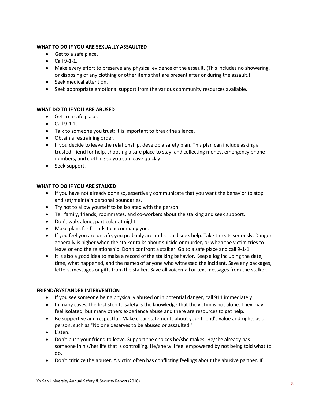#### **WHAT TO DO IF YOU ARE SEXUALLY ASSAULTED**

- Get to a safe place.
- Call 9-1-1.
- Make every effort to preserve any physical evidence of the assault. (This includes no showering, or disposing of any clothing or other items that are present after or during the assault.)
- Seek medical attention.
- Seek appropriate emotional support from the various community resources available.

#### **WHAT DO TO IF YOU ARE ABUSED**

- Get to a safe place.
- Call 9-1-1.
- Talk to someone you trust; it is important to break the silence.
- Obtain a restraining order.
- If you decide to leave the relationship, develop a safety plan. This plan can include asking a trusted friend for help, choosing a safe place to stay, and collecting money, emergency phone numbers, and clothing so you can leave quickly.
- Seek support.

#### **WHAT TO DO IF YOU ARE STALKED**

- If you have not already done so, assertively communicate that you want the behavior to stop and set/maintain personal boundaries.
- Try not to allow yourself to be isolated with the person.
- Tell family, friends, roommates, and co-workers about the stalking and seek support.
- Don't walk alone, particular at night.
- Make plans for friends to accompany you.
- If you feel you are unsafe, you probably are and should seek help. Take threats seriously. Danger generally is higher when the stalker talks about suicide or murder, or when the victim tries to leave or end the relationship. Don't confront a stalker. Go to a safe place and call 9-1-1.
- It is also a good idea to make a record of the stalking behavior. Keep a log including the date, time, what happened, and the names of anyone who witnessed the incident. Save any packages, letters, messages or gifts from the stalker. Save all voicemail or text messages from the stalker.

#### **FRIEND/BYSTANDER INTERVENTION**

- If you see someone being physically abused or in potential danger, call 911 immediately
- In many cases, the first step to safety is the knowledge that the victim is not alone. They may feel isolated, but many others experience abuse and there are resources to get help.
- Be supportive and respectful. Make clear statements about your friend's value and rights as a person, such as "No one deserves to be abused or assaulted."
- Listen.
- Don't push your friend to leave. Support the choices he/she makes. He/she already has someone in his/her life that is controlling. He/she will feel empowered by not being told what to do.
- Don't criticize the abuser. A victim often has conflicting feelings about the abusive partner. If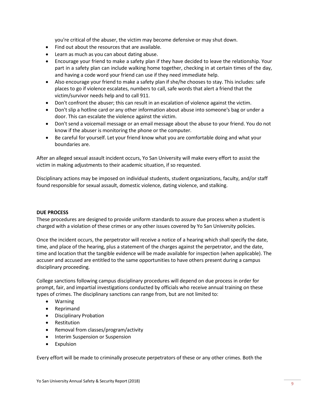you're critical of the abuser, the victim may become defensive or may shut down.

- Find out about the resources that are available.
- Learn as much as you can about dating abuse.
- Encourage your friend to make a safety plan if they have decided to leave the relationship. Your part in a safety plan can include walking home together, checking in at certain times of the day, and having a code word your friend can use if they need immediate help.
- Also encourage your friend to make a safety plan if she/he chooses to stay. This includes: safe places to go if violence escalates, numbers to call, safe words that alert a friend that the victim/survivor needs help and to call 911.
- Don't confront the abuser; this can result in an escalation of violence against the victim.
- Don't slip a hotline card or any other information about abuse into someone's bag or under a door. This can escalate the violence against the victim.
- Don't send a voicemail message or an email message about the abuse to your friend. You do not know if the abuser is monitoring the phone or the computer.
- Be careful for yourself. Let your friend know what you are comfortable doing and what your boundaries are.

After an alleged sexual assault incident occurs, Yo San University will make every effort to assist the victim in making adjustments to their academic situation, if so requested.

Disciplinary actions may be imposed on individual students, student organizations, faculty, and/or staff found responsible for sexual assault, domestic violence, dating violence, and stalking.

#### **DUE PROCESS**

These procedures are designed to provide uniform standards to assure due process when a student is charged with a violation of these crimes or any other issues covered by Yo San University policies.

Once the incident occurs, the perpetrator will receive a notice of a hearing which shall specify the date, time, and place of the hearing, plus a statement of the charges against the perpetrator, and the date, time and location that the tangible evidence will be made available for inspection (when applicable). The accuser and accused are entitled to the same opportunities to have others present during a campus disciplinary proceeding.

College sanctions following campus disciplinary procedures will depend on due process in order for prompt, fair, and impartial investigations conducted by officials who receive annual training on these types of crimes. The disciplinary sanctions can range from, but are not limited to:

- Warning
- Reprimand
- Disciplinary Probation
- Restitution
- Removal from classes/program/activity
- Interim Suspension or Suspension
- Expulsion

Every effort will be made to criminally prosecute perpetrators of these or any other crimes. Both the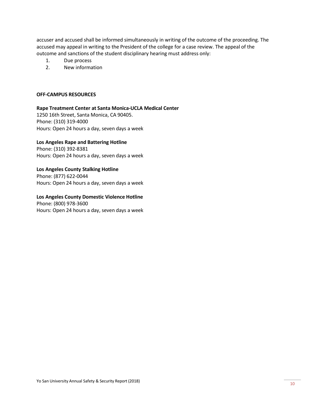accuser and accused shall be informed simultaneously in writing of the outcome of the proceeding. The accused may appeal in writing to the President of the college for a case review. The appeal of the outcome and sanctions of the student disciplinary hearing must address only:

- 1. Due process
- 2. New information

#### **OFF-CAMPUS RESOURCES**

#### **Rape Treatment Center at Santa Monica-UCLA Medical Center**

1250 16th Street, Santa Monica, CA 90405. Phone: (310) 319-4000 Hours: Open 24 hours a day, seven days a week

#### **Los Angeles Rape and Battering Hotline**

Phone: (310) 392-8381 Hours: Open 24 hours a day, seven days a week

#### **Los Angeles County Stalking Hotline** Phone: (877) 622-0044

Hours: Open 24 hours a day, seven days a week

#### **Los Angeles County Domestic Violence Hotline** Phone: (800) 978-3600 Hours: Open 24 hours a day, seven days a week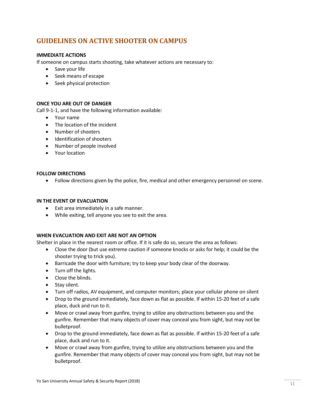## **GUIDELINES ON ACTIVE SHOOTER ON CAMPUS**

#### **IMMEDIATE ACTIONS**

If someone on campus starts shooting, take whatever actions are necessary to:

- Save your life
- Seek means of escape
- Seek physical protection

#### **ONCE YOU ARE OUT OF DANGER**

Call 9-1-1, and have the following information available:

- Your name
- The location of the incident
- Number of shooters
- Identification of shooters
- Number of people involved
- Your location

#### **FOLLOW DIRECTIONS**

• Follow directions given by the police, fire, medical and other emergency personnel on scene.

#### **IN THE EVENT OF EVACUATION**

- Exit area immediately in a safe manner.
- While exiting, tell anyone you see to exit the area.

#### **WHEN EVACUATION AND EXIT ARE NOT AN OPTION**

Shelter in place in the nearest room or office. If it is safe do so, secure the area as follows:

- Close the door (but use extreme caution if someone knocks or asks for help; it could be the shooter trying to trick you).
- Barricade the door with furniture; try to keep your body clear of the doorway.
- Turn off the lights.
- Close the blinds.
- Stay silent.
- Turn off radios, AV equipment, and computer monitors; place your cellular phone on silent
- Drop to the ground immediately, face down as flat as possible. If within 15-20 feet of a safe place, duck and run to it.
- Move or crawl away from gunfire, trying to utilize any obstructions between you and the gunfire. Remember that many objects of cover may conceal you from sight, but may not be bulletproof.
- Drop to the ground immediately, face down as flat as possible. If within 15-20 feet of a safe place, duck and run to it.
- Move or crawl away from gunfire, trying to utilize any obstructions between you and the gunfire. Remember that many objects of cover may conceal you from sight, but may not be bulletproof.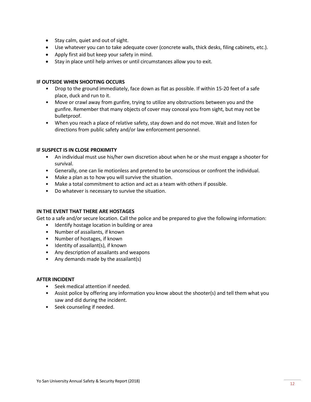- Stay calm, quiet and out of sight.
- Use whatever you can to take adequate cover (concrete walls, thick desks, filing cabinets, etc.).
- Apply first aid but keep your safety in mind.
- Stay in place until help arrives or until circumstances allow you to exit.

#### **IF OUTSIDE WHEN SHOOTING OCCURS**

- Drop to the ground immediately, face down as flat as possible. If within 15-20 feet of a safe place, duck and run to it.
- Move or crawl away from gunfire, trying to utilize any obstructions between you and the gunfire. Remember that many objects of cover may conceal you from sight, but may not be bulletproof.
- When you reach a place of relative safety, stay down and do not move. Wait and listen for directions from public safety and/or law enforcement personnel.

#### **IF SUSPECT IS IN CLOSE PROXIMITY**

- An individual must use his/her own discretion about when he or she must engage a shooter for survival.
- Generally, one can lie motionless and pretend to be unconscious or confront the individual.
- Make a plan as to how you will survive the situation.
- Make a total commitment to action and act as a team with others if possible.
- Do whatever is necessary to survive the situation.

#### **IN THE EVENT THAT THERE ARE HOSTAGES**

Get to a safe and/or secure location. Call the police and be prepared to give the following information:

- Identify hostage location in building or area
- Number of assailants, if known
- Number of hostages, if known
- Identity of assailant(s), if known
- Any description of assailants and weapons
- Any demands made by the assailant(s)

#### **AFTER INCIDENT**

- Seek medical attention if needed.
- Assist police by offering any information you know about the shooter(s) and tell them what you saw and did during the incident.
- Seek counseling if needed.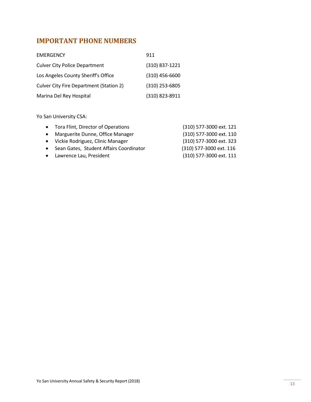# **IMPORTANT PHONE NUMBERS**

| <b>EMERGENCY</b>                        | 911              |
|-----------------------------------------|------------------|
| <b>Culver City Police Department</b>    | (310) 837-1221   |
| Los Angeles County Sheriff's Office     | $(310)$ 456-6600 |
| Culver City Fire Department (Station 2) | (310) 253-6805   |
| Marina Del Rey Hospital                 | (310) 823-8911   |

Yo San University CSA:

| • Tora Flint, Director of Operations      | (310) 577-3000 ext. 121 |
|-------------------------------------------|-------------------------|
| • Marguerite Dunne, Office Manager        | (310) 577-3000 ext. 110 |
| • John Fang, Dean of Clinical Education   | (310) 577-3000 ext. 325 |
| • Sean Gates, Student Affairs Coordinator | (310) 577-3000 ext. 116 |
| • Lawrence Lau, President                 | (310) 577-3000 ext. 111 |
|                                           |                         |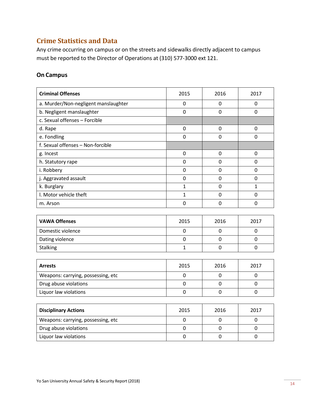## **Crime Statistics and Data**

Any crime occurring on campus or on the streets and sidewalks directly adjacent to campus must be reported to the Director of Operations at (310) 577-3000 ext 121.

### **On Campus**

| <b>Criminal Offenses</b>             | 2015           | 2016           | 2017           |
|--------------------------------------|----------------|----------------|----------------|
| a. Murder/Non-negligent manslaughter | 0              | 0              | 0              |
| b. Negligent manslaughter            | $\Omega$       | $\Omega$       | $\mathbf 0$    |
| c. Sexual offenses - Forcible        |                |                |                |
| d. Rape                              | $\mathbf 0$    | $\mathbf 0$    | 0              |
| e. Fondling                          | $\mathbf 0$    | $\mathbf 0$    | 0              |
| f. Sexual offenses - Non-forcible    |                |                |                |
| g. Incest                            | $\mathbf 0$    | $\mathbf 0$    | 0              |
| h. Statutory rape                    | 0              | 0              | 0              |
| i. Robbery                           | 0              | $\overline{0}$ | $\overline{0}$ |
| j. Aggravated assault                | 0              | 0              | 0              |
| k. Burglary                          | $\mathbf{1}$   | $\mathbf 0$    | $\mathbf{1}$   |
| I. Motor vehicle theft               | $\mathbf{1}$   | $\mathbf 0$    | 0              |
| m. Arson                             | 0              | $\mathbf 0$    | 0              |
|                                      |                |                |                |
| <b>VAWA Offenses</b>                 | 2015           | 2016           | 2017           |
| Domestic violence                    | $\mathbf 0$    | $\mathbf 0$    | $\mathbf 0$    |
| Dating violence                      | $\overline{0}$ | 0              | $\overline{0}$ |
| <b>Stalking</b>                      | $\mathbf{1}$   | $\Omega$       | 0              |
|                                      |                |                |                |
| <b>Arrests</b>                       | 2015           | 2016           | 2017           |
| Weapons: carrying, possessing, etc   | $\mathbf 0$    | $\mathbf 0$    | 0              |
| Drug abuse violations                | $\mathbf 0$    | $\overline{0}$ | $\overline{0}$ |
| Liquor law violations                | 0              | 0              | 0              |
|                                      |                |                |                |
| <b>Disciplinary Actions</b>          | 2015           | 2016           | 2017           |
| Weapons: carrying, possessing, etc   | $\mathbf 0$    | 0              | $\mathbf 0$    |
| Drug abuse violations                | $\mathbf 0$    | $\mathbf 0$    | $\mathbf 0$    |
| Liquor law violations                | $\mathbf 0$    | $\mathbf 0$    | 0              |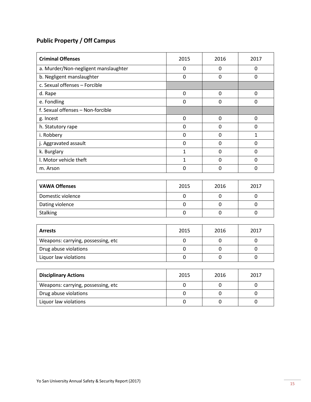# **Public Property / Off Campus**

| <b>Criminal Offenses</b>             | 2015         | 2016           | 2017           |
|--------------------------------------|--------------|----------------|----------------|
| a. Murder/Non-negligent manslaughter | 0            | 0              | 0              |
| b. Negligent manslaughter            | $\mathbf 0$  | $\overline{0}$ | $\mathbf 0$    |
| c. Sexual offenses - Forcible        |              |                |                |
| d. Rape                              | $\mathbf 0$  | $\mathbf 0$    | 0              |
| e. Fondling                          | $\mathbf 0$  | 0              | 0              |
| f. Sexual offenses - Non-forcible    |              |                |                |
| g. Incest                            | $\mathbf 0$  | $\mathbf 0$    | 0              |
| h. Statutory rape                    | 0            | $\overline{0}$ | $\mathbf 0$    |
| i. Robbery                           | $\mathbf 0$  | $\mathbf 0$    | $\mathbf{1}$   |
| j. Aggravated assault                | $\mathbf 0$  | $\overline{0}$ | $\overline{0}$ |
| k. Burglary                          | $\mathbf{1}$ | $\mathbf 0$    | 0              |
| I. Motor vehicle theft               | $\mathbf{1}$ | $\overline{0}$ | 0              |
| m. Arson                             | 0            | $\mathbf 0$    | 0              |
|                                      |              |                |                |
| <b>VAWA Offenses</b>                 | 2015         | 2016           | 2017           |
| Domestic violence                    | $\mathbf 0$  | $\mathbf 0$    | 0              |
| Dating violence                      | $\mathbf 0$  | $\overline{0}$ | $\overline{0}$ |
| <b>Stalking</b>                      | 0            | $\mathbf 0$    | 0              |
|                                      |              |                |                |
| <b>Arrests</b>                       | 2015         | 2016           | 2017           |
| Weapons: carrying, possessing, etc   | $\mathbf 0$  | $\mathbf 0$    | 0              |
| Drug abuse violations                | $\mathbf 0$  | $\overline{0}$ | $\overline{0}$ |
| Liquor law violations                | 0            | $\mathbf 0$    | 0              |
|                                      |              |                |                |
| <b>Disciplinary Actions</b>          | 2015         | 2016           | 2017           |
| Weapons: carrying, possessing, etc   | $\mathbf 0$  | 0              | $\mathbf 0$    |
| Drug abuse violations                | $\mathbf 0$  | 0              | $\mathbf 0$    |
| Liquor law violations                | 0            | $\mathbf 0$    | 0              |